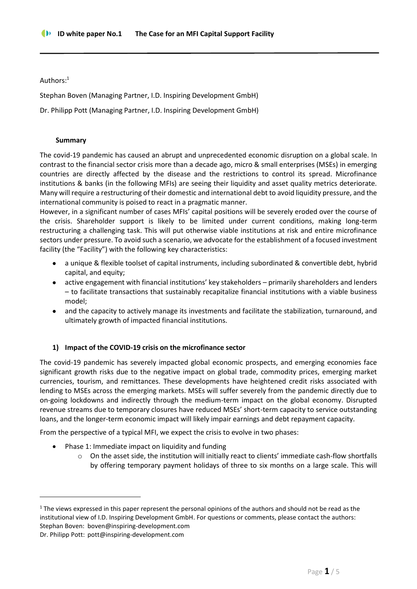Authors:<sup>1</sup>

Stephan Boven (Managing Partner, I.D. Inspiring Development GmbH)

Dr. Philipp Pott (Managing Partner, I.D. Inspiring Development GmbH)

### **Summary**

The covid-19 pandemic has caused an abrupt and unprecedented economic disruption on a global scale. In contrast to the financial sector crisis more than a decade ago, micro & small enterprises (MSEs) in emerging countries are directly affected by the disease and the restrictions to control its spread. Microfinance institutions & banks (in the following MFIs) are seeing their liquidity and asset quality metrics deteriorate. Many will require a restructuring of their domestic and international debt to avoid liquidity pressure, and the international community is poised to react in a pragmatic manner.

However, in a significant number of cases MFIs' capital positions will be severely eroded over the course of the crisis. Shareholder support is likely to be limited under current conditions, making long-term restructuring a challenging task. This will put otherwise viable institutions at risk and entire microfinance sectors under pressure. To avoid such a scenario, we advocate for the establishment of a focused investment facility (the "Facility") with the following key characteristics:

- a unique & flexible toolset of capital instruments, including subordinated & convertible debt, hybrid capital, and equity;
- active engagement with financial institutions' key stakeholders primarily shareholders and lenders – to facilitate transactions that sustainably recapitalize financial institutions with a viable business model;
- and the capacity to actively manage its investments and facilitate the stabilization, turnaround, and ultimately growth of impacted financial institutions.

# **1) Impact of the COVID-19 crisis on the microfinance sector**

The covid-19 pandemic has severely impacted global economic prospects, and emerging economies face significant growth risks due to the negative impact on global trade, commodity prices, emerging market currencies, tourism, and remittances. These developments have heightened credit risks associated with lending to MSEs across the emerging markets. MSEs will suffer severely from the pandemic directly due to on-going lockdowns and indirectly through the medium-term impact on the global economy. Disrupted revenue streams due to temporary closures have reduced MSEs' short-term capacity to service outstanding loans, and the longer-term economic impact will likely impair earnings and debt repayment capacity.

From the perspective of a typical MFI, we expect the crisis to evolve in two phases:

- Phase 1: Immediate impact on liquidity and funding
	- o On the asset side, the institution will initially react to clients' immediate cash-flow shortfalls by offering temporary payment holidays of three to six months on a large scale. This will

 $1$  The views expressed in this paper represent the personal opinions of the authors and should not be read as the institutional view of I.D. Inspiring Development GmbH. For questions or comments, please contact the authors: Stephan Boven: [boven@inspiring-development.com](mailto:boven@inspiring-development.com)

Dr. Philipp Pott: pott@inspiring-development.com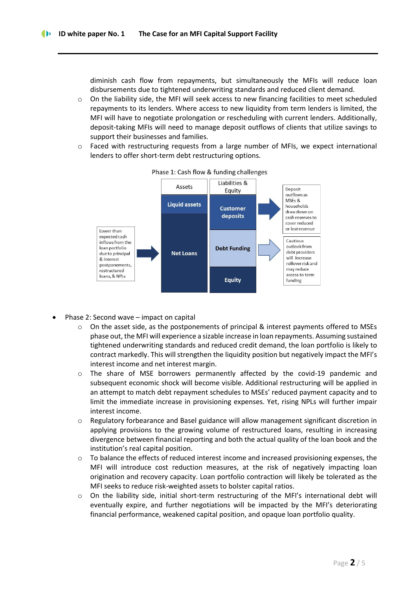diminish cash flow from repayments, but simultaneously the MFIs will reduce loan disbursements due to tightened underwriting standards and reduced client demand.

- o On the liability side, the MFI will seek access to new financing facilities to meet scheduled repayments to its lenders. Where access to new liquidity from term lenders is limited, the MFI will have to negotiate prolongation or rescheduling with current lenders. Additionally, deposit-taking MFIs will need to manage deposit outflows of clients that utilize savings to support their businesses and families.
- o Faced with restructuring requests from a large number of MFIs, we expect international lenders to offer short-term debt restructuring options.



Phase 1: Cash flow & funding challenges

- Phase 2: Second wave impact on capital
	- $\circ$  On the asset side, as the postponements of principal & interest payments offered to MSEs phase out, the MFI will experience a sizable increase in loan repayments. Assuming sustained tightened underwriting standards and reduced credit demand, the loan portfolio is likely to contract markedly. This will strengthen the liquidity position but negatively impact the MFI's interest income and net interest margin.
	- o The share of MSE borrowers permanently affected by the covid-19 pandemic and subsequent economic shock will become visible. Additional restructuring will be applied in an attempt to match debt repayment schedules to MSEs' reduced payment capacity and to limit the immediate increase in provisioning expenses. Yet, rising NPLs will further impair interest income.
	- o Regulatory forbearance and Basel guidance will allow management significant discretion in applying provisions to the growing volume of restructured loans, resulting in increasing divergence between financial reporting and both the actual quality of the loan book and the institution's real capital position.
	- o To balance the effects of reduced interest income and increased provisioning expenses, the MFI will introduce cost reduction measures, at the risk of negatively impacting loan origination and recovery capacity. Loan portfolio contraction will likely be tolerated as the MFI seeks to reduce risk-weighted assets to bolster capital ratios.
	- o On the liability side, initial short-term restructuring of the MFI's international debt will eventually expire, and further negotiations will be impacted by the MFI's deteriorating financial performance, weakened capital position, and opaque loan portfolio quality.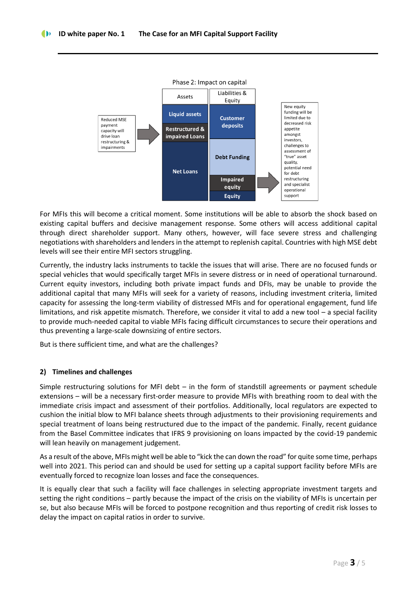

For MFIs this will become a critical moment. Some institutions will be able to absorb the shock based on existing capital buffers and decisive management response. Some others will access additional capital through direct shareholder support. Many others, however, will face severe stress and challenging negotiations with shareholders and lenders in the attempt to replenish capital. Countries with high MSE debt levels will see their entire MFI sectors struggling.

Currently, the industry lacks instruments to tackle the issues that will arise. There are no focused funds or special vehicles that would specifically target MFIs in severe distress or in need of operational turnaround. Current equity investors, including both private impact funds and DFIs, may be unable to provide the additional capital that many MFIs will seek for a variety of reasons, including investment criteria, limited capacity for assessing the long-term viability of distressed MFIs and for operational engagement, fund life limitations, and risk appetite mismatch. Therefore, we consider it vital to add a new tool – a special facility to provide much-needed capital to viable MFIs facing difficult circumstances to secure their operations and thus preventing a large-scale downsizing of entire sectors.

But is there sufficient time, and what are the challenges?

# **2) Timelines and challenges**

Simple restructuring solutions for MFI debt – in the form of standstill agreements or payment schedule extensions – will be a necessary first-order measure to provide MFIs with breathing room to deal with the immediate crisis impact and assessment of their portfolios. Additionally, local regulators are expected to cushion the initial blow to MFI balance sheets through adjustments to their provisioning requirements and special treatment of loans being restructured due to the impact of the pandemic. Finally, recent guidance from the Basel Committee indicates that IFRS 9 provisioning on loans impacted by the covid-19 pandemic will lean heavily on management judgement.

As a result of the above, MFIs might well be able to "kick the can down the road" for quite some time, perhaps well into 2021. This period can and should be used for setting up a capital support facility before MFIs are eventually forced to recognize loan losses and face the consequences.

It is equally clear that such a facility will face challenges in selecting appropriate investment targets and setting the right conditions – partly because the impact of the crisis on the viability of MFIs is uncertain per se, but also because MFIs will be forced to postpone recognition and thus reporting of credit risk losses to delay the impact on capital ratios in order to survive.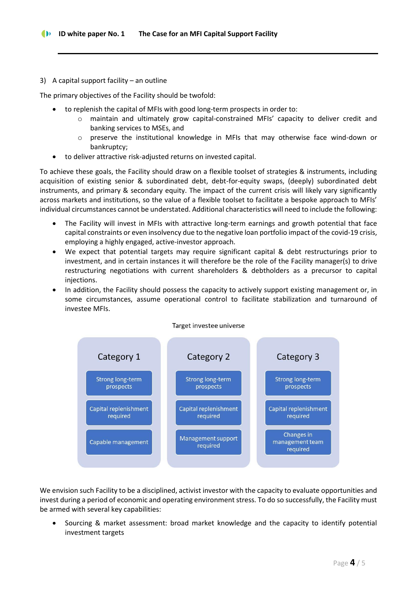# 3) A capital support facility – an outline

The primary objectives of the Facility should be twofold:

- to replenish the capital of MFIs with good long-term prospects in order to:
	- o maintain and ultimately grow capital-constrained MFIs' capacity to deliver credit and banking services to MSEs, and
	- o preserve the institutional knowledge in MFIs that may otherwise face wind-down or bankruptcy;
- to deliver attractive risk-adjusted returns on invested capital.

To achieve these goals, the Facility should draw on a flexible toolset of strategies & instruments, including acquisition of existing senior & subordinated debt, debt-for-equity swaps, (deeply) subordinated debt instruments, and primary & secondary equity. The impact of the current crisis will likely vary significantly across markets and institutions, so the value of a flexible toolset to facilitate a bespoke approach to MFIs' individual circumstances cannot be understated. Additional characteristics will need to include the following:

- The Facility will invest in MFIs with attractive long-term earnings and growth potential that face capital constraints or even insolvency due to the negative loan portfolio impact of the covid-19 crisis, employing a highly engaged, active-investor approach.
- We expect that potential targets may require significant capital & debt restructurings prior to investment, and in certain instances it will therefore be the role of the Facility manager(s) to drive restructuring negotiations with current shareholders & debtholders as a precursor to capital injections.
- In addition, the Facility should possess the capacity to actively support existing management or, in some circumstances, assume operational control to facilitate stabilization and turnaround of investee MFIs.



We envision such Facility to be a disciplined, activist investor with the capacity to evaluate opportunities and invest during a period of economic and operating environment stress. To do so successfully, the Facility must be armed with several key capabilities:

• Sourcing & market assessment: broad market knowledge and the capacity to identify potential investment targets